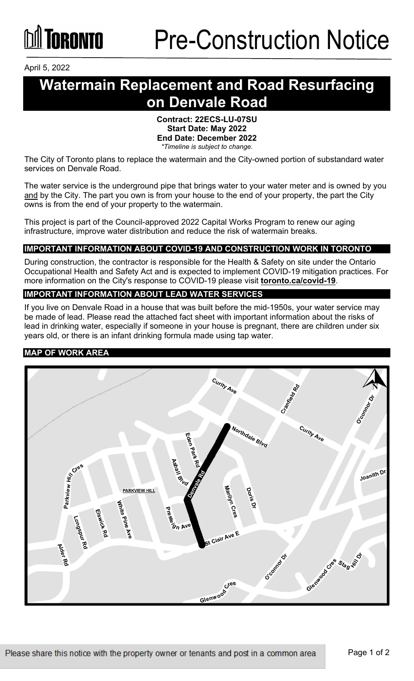April 5, 2022

## **Watermain Replacement and Road Resurfacing on Denvale Road**

#### **Contract: 22ECS-LU-07SU Start Date: May 2022 End Date: December 2022** *\*Timeline is subject to change.*

The City of Toronto plans to replace the watermain and the City-owned portion of substandard water services on Denvale Road.

The water service is the underground pipe that brings water to your water meter and is owned by you and by the City. The part you own is from your house to the end of your property, the part the City owns is from the end of your property to the watermain.

This project is part of the Council-approved 2022 Capital Works Program to renew our aging infrastructure, improve water distribution and reduce the risk of watermain breaks.

#### **IMPORTANT INFORMATION ABOUT COVID-19 AND CONSTRUCTION WORK IN TORONTO**

During construction, the contractor is responsible for the Health & Safety on site under the Ontario Occupational Health and Safety Act and is expected to implement COVID-19 mitigation practices. For more information on the City's response to COVID-19 please visit **[toronto.ca/covid-19](http://www.toronto.ca/covid-19)**.

#### **IMPORTANT INFORMATION ABOUT LEAD WATER SERVICES**

If you live on Denvale Road in a house that was built before the mid-1950s, your water service may be made of lead. Please read the attached fact sheet with important information about the risks of lead in drinking water, especially if someone in your house is pregnant, there are children under six years old, or there is an infant drinking formula made using tap water.

#### **MAP OF WORK AREA**